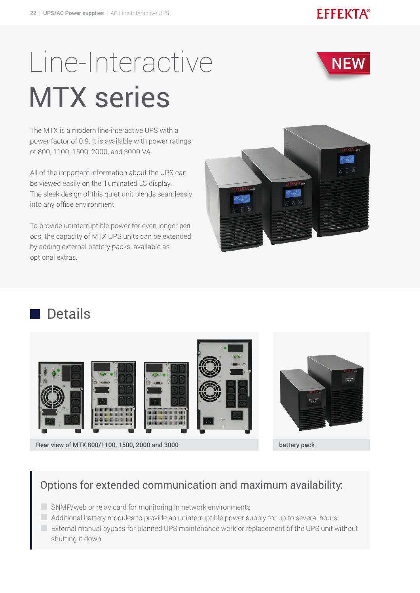### **EFFEKTA®**

# Line-Interactive MTX series

**NEW** 

The MTX is a modern line-interactive UPS with a power factor of 0.9. It is available with power ratings of 800, 1100, 1500, 2000, and 3000 VA.

All of the important information about the UPS can be viewed easily on the illuminated LC display. The sleek design of this quiet unit blends seamlessly into any office environment.

To provide uninterruptible power for even longer periods, the capacity of MTX UPS units can be extended by adding external battery packs, available as optional extras.



# Details









Rear view of MTX 800/1100, 1500, 2000 and 3000 battery pack battery pack

#### Options for extended communication and maximum availability:

- $\Box$  SNMP/web or relay card for monitoring in network environments
- Additional battery modules to provide an uninterruptible power supply for up to several hours
- External manual bypass for planned UPS maintenance work or replacement of the UPS unit without shutting it down